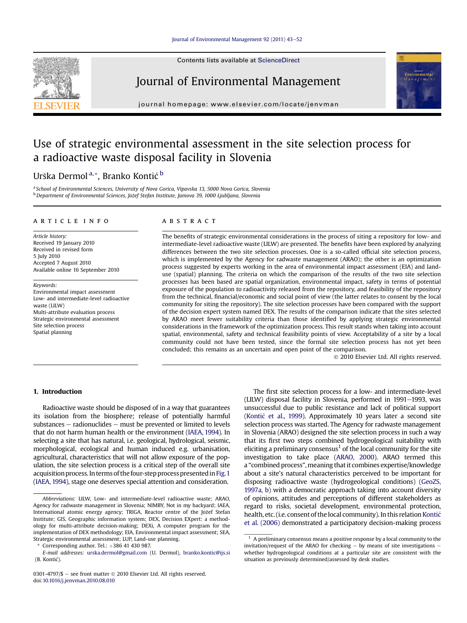#### [Journal of Environmental Management 92 \(2011\) 43](http://dx.doi.org/10.1016/j.jenvman.2010.08.010)-[52](http://dx.doi.org/10.1016/j.jenvman.2010.08.010)

Contents lists available at ScienceDirect



### Journal of Environmental Management



journal homepage: [www.elsevier.com/locate/jenvman](http://www.elsevier.com/locate/jenvman)

## Use of strategic environmental assessment in the site selection process for a radioactive waste disposal facility in Slovenia

### Urška Dermol<sup>a,\*</sup>, Branko Kontić b

a School of Environmental Sciences, University of Nova Gorica, Vipavska 13, 5000 Nova Gorica, Slovenia <sup>b</sup> Department of Environmental Sciences, Jožef Stefan Institute, Jamova 39, 1000 Ljubljana, Slovenia

#### article info

Article history: Received 19 January 2010 Received in revised form 5 July 2010 Accepted 7 August 2010 Available online 16 September 2010

Keywords: Environmental impact assessment Low- and intermediate-level radioactive waste (LILW) Multi-attribute evaluation process Strategic environmental assessment Site selection process Spatial planning

#### ABSTRACT

The benefits of strategic environmental considerations in the process of siting a repository for low- and intermediate-level radioactive waste (LILW) are presented. The benefits have been explored by analyzing differences between the two site selection processes. One is a so-called official site selection process, which is implemented by the Agency for radwaste management (ARAO); the other is an optimization process suggested by experts working in the area of environmental impact assessment (EIA) and landuse (spatial) planning. The criteria on which the comparison of the results of the two site selection processes has been based are spatial organization, environmental impact, safety in terms of potential exposure of the population to radioactivity released from the repository, and feasibility of the repository from the technical, financial/economic and social point of view (the latter relates to consent by the local community for siting the repository). The site selection processes have been compared with the support of the decision expert system named DEX. The results of the comparison indicate that the sites selected by ARAO meet fewer suitability criteria than those identified by applying strategic environmental considerations in the framework of the optimization process. This result stands when taking into account spatial, environmental, safety and technical feasibility points of view. Acceptability of a site by a local community could not have been tested, since the formal site selection process has not yet been concluded; this remains as an uncertain and open point of the comparison.

2010 Elsevier Ltd. All rights reserved.

#### 1. Introduction

Radioactive waste should be disposed of in a way that guarantees its isolation from the biosphere; release of potentially harmful substances  $-$  radionuclides  $-$  must be prevented or limited to levels that do not harm human health or the environment [\(IAEA, 1994](#page--1-0)). In selecting a site that has natural, i.e. geological, hydrological, seismic, morphological, ecological and human induced e.g. urbanisation, agricultural, characteristics that will not allow exposure of the population, the site selection process is a critical step of the overall site acquisition process. In terms of the four-step process presented in Fig. 1 [\(IAEA, 1994](#page--1-0)), stage one deserves special attention and consideration.

Corresponding author. Tel.:  $+386$  41 430 987.

0301-4797/\$ - see front matter  $\odot$  2010 Elsevier Ltd. All rights reserved. doi[:10.1016/j.jenvman.2010.08.010](http://dx.doi.org/10.1016/j.jenvman.2010.08.010)

The first site selection process for a low- and intermediate-level (LILW) disposal facility in Slovenia, performed in  $1991-1993$ , was unsuccessful due to public resistance and lack of political support [\(Konti](#page--1-0)ć et al., 1999). Approximately 10 years later a second site selection process was started. The Agency for radwaste management in Slovenia (ARAO) designed the site selection process in such a way that its first two steps combined hydrogeological suitability with eliciting a preliminary consensus<sup>1</sup> of the local community for the site investigation to take place [\(ARAO, 2000](#page--1-0)). ARAO termed this a "combined process", meaning that it combines expertise/knowledge about a site's natural characteristics perceived to be important for disposing radioactive waste (hydrogeological conditions) ([GeoZS,](#page--1-0) [1997a, b\)](#page--1-0) with a democratic approach taking into account diversity of opinions, attitudes and perceptions of different stakeholders as regard to risks, societal development, environmental protection, health, etc. (i.e. consent of the local community). In this relation [Konti](#page--1-0)ć [et al. \(2006\)](#page--1-0) demonstrated a participatory decision-making process

Abbreviations: LILW, Low- and intermediate-level radioactive waste; ARAO, Agency for radwaste management in Slovenia; NIMBY, Not in my backyard; IAEA, International atomic energy agency; TRIGA, Reactor centre of the Jožef Stefan Institute; GIS, Geographic information system; DEX, Decision EXpert: a methodology for multi-attribute decision-making; DEXi, A computer program for the implementation of DEX methodology; EIA, Environmental impact assessment; SEA, Strategic environmental assessment; LUP, Land-use planning.

E-mail addresses: [urska.dermol@gmail.com](mailto:urska.dermol@gmail.com) (U. Dermol), [branko.kontic@ijs.si](mailto:branko.kontic@ijs.si) (B. Kontic).

 $^{\rm 1}$  A preliminary consensus means a positive response by a local community to the invitation/request of the ARAO for checking  $-$  by means of site investigations  $$ whether hydrogeological conditions at a particular site are consistent with the situation as previously determined/assessed by desk studies.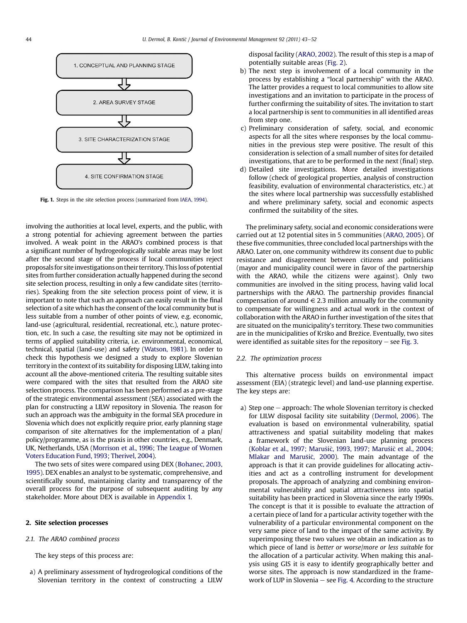<span id="page-1-0"></span>

Fig. 1. Steps in the site selection process (summarized from [IAEA, 1994](#page--1-0)).

involving the authorities at local level, experts, and the public, with a strong potential for achieving agreement between the parties involved. A weak point in the ARAO's combined process is that a significant number of hydrogeologically suitable areas may be lost after the second stage of the process if local communities reject proposals for siteinvestigations on their territory. Thisloss of potential sites from further consideration actually happened during the second site selection process, resulting in only a few candidate sites (territories). Speaking from the site selection process point of view, it is important to note that such an approach can easily result in the final selection of a site which has the consent of the local community but is less suitable from a number of other points of view, e.g. economic, land-use (agricultural, residential, recreational, etc.), nature protection, etc. In such a case, the resulting site may not be optimized in terms of applied suitability criteria, i.e. environmental, economical, technical, spatial (land-use) and safety [\(Watson, 1981\)](#page--1-0). In order to check this hypothesis we designed a study to explore Slovenian territory in the context of its suitability for disposing LILW, taking into account all the above-mentioned criteria. The resulting suitable sites were compared with the sites that resulted from the ARAO site selection process. The comparison has been performed as a pre-stage of the strategic environmental assessment (SEA) associated with the plan for constructing a LILW repository in Slovenia. The reason for such an approach was the ambiguity in the formal SEA procedure in Slovenia which does not explicitly require prior, early planning stage comparison of site alternatives for the implementation of a plan/ policy/programme, as is the praxis in other countries, e.g., Denmark, UK, Netherlands, USA [\(Morrison et al., 1996; The League of Women](#page--1-0) [Voters Education Fund, 1993; Therivel, 2004](#page--1-0)).

The two sets of sites were compared using DEX ([Bohanec, 2003,](#page--1-0) [1995](#page--1-0)). DEX enables an analyst to be systematic, comprehensive, and scientifically sound, maintaining clarity and transparency of the overall process for the purpose of subsequent auditing by any stakeholder. More about DEX is available in [Appendix 1.](#page--1-0)

#### 2. Site selection processes

2.1. The ARAO combined process

The key steps of this process are:

a) A preliminary assessment of hydrogeological conditions of the Slovenian territory in the context of constructing a LILW disposal facility [\(ARAO, 2002\)](#page--1-0). The result of this step is a map of potentially suitable areas ([Fig. 2\)](#page--1-0).

- b) The next step is involvement of a local community in the process by establishing a "local partnership" with the ARAO. The latter provides a request to local communities to allow site investigations and an invitation to participate in the process of further confirming the suitability of sites. The invitation to start a local partnership is sent to communities in all identified areas from step one.
- c) Preliminary consideration of safety, social, and economic aspects for all the sites where responses by the local communities in the previous step were positive. The result of this consideration is selection of a small number of sites for detailed investigations, that are to be performed in the next (final) step.
- d) Detailed site investigations. More detailed investigations follow (check of geological properties, analysis of construction feasibility, evaluation of environmental characteristics, etc.) at the sites where local partnership was successfully established and where preliminary safety, social and economic aspects confirmed the suitability of the sites.

The preliminary safety, social and economic considerations were carried out at 12 potential sites in 5 communities [\(ARAO, 2005](#page--1-0)). Of these five communities, three concluded local partnerships with the ARAO. Later on, one community withdrew its consent due to public resistance and disagreement between citizens and politicians (mayor and municipality council were in favor of the partnership with the ARAO, while the citizens were against). Only two communities are involved in the siting process, having valid local partnerships with the ARAO. The partnership provides financial compensation of around  $\in$  2.3 million annually for the community to compensate for willingness and actual work in the context of collaboration with the ARAO in further investigation of the sites that are situated on the municipality's territory. These two communities are in the municipalities of Krsko and Brezice. Eventually, two sites were identified as suitable sites for the repository  $-$  see [Fig. 3.](#page--1-0)

#### 2.2. The optimization process

This alternative process builds on environmental impact assessment (EIA) (strategic level) and land-use planning expertise. The key steps are:

a) Step one  $-$  approach: The whole Slovenian territory is checked for LILW disposal facility site suitability ([Dermol, 2006\)](#page--1-0). The evaluation is based on environmental vulnerability, spatial attractiveness and spatial suitability modeling that makes a framework of the Slovenian land-use planning process [\(Koblar et al., 1997; Maru](#page--1-0)š[i](#page--1-0)č, 1993, 1997; Marušič [et al., 2004;](#page--1-0) [Mlakar and Maru](#page--1-0)s[i](#page--1-0)c[, 2000](#page--1-0)). The main advantage of the approach is that it can provide guidelines for allocating activities and act as a controlling instrument for development proposals. The approach of analyzing and combining environmental vulnerability and spatial attractiveness into spatial suitability has been practiced in Slovenia since the early 1990s. The concept is that it is possible to evaluate the attraction of a certain piece of land for a particular activity together with the vulnerability of a particular environmental component on the very same piece of land to the impact of the same activity. By superimposing these two values we obtain an indication as to which piece of land is better or worse/more or less suitable for the allocation of a particular activity. When making this analysis using GIS it is easy to identify geographically better and worse sites. The approach is now standardized in the framework of LUP in Slovenia  $-$  see [Fig. 4.](#page--1-0) According to the structure